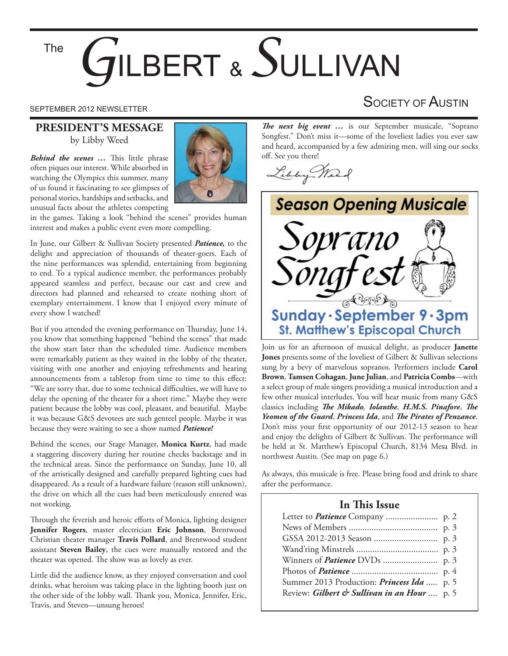# BERT & SULLIVAN The

#### **PRESIDENT'S MESSAGE** by Libby Weed

*Behind the scenes ...* This little phrase often piques our interest. While absorbed in watching the Olympics this summer, many of us found it fascinating to see glimpses of personal stories, hardships and setbacks, and unusual facts about the athletes competing



in the games. Taking a look "behind the scenes" provides human interest and makes a public event even more compelling.

In June, our Gilbert & Sullivan Society presented *Patience,* to the delight and appreciation of thousands of theater-goers. Each of the nine performances was splendid, entertaining from beginning to end. To a typical audience member, the performances probably appeared seamless and perfect, because our cast and crew and directors had planned and rehearsed to create nothing short of exemplary entertainment. I know that I enjoyed every minute of every show I watched!

But if you attended the evening performance on Thursday, June 14, you know that something happened "behind the scenes" that made the show start later than the scheduled time. Audience members were remarkably patient as they waited in the lobby of the theater, visiting with one another and enjoying refreshments and hearing announcements from a tabletop from time to time to this effect: "We are sorry that, due to some technical difficulties, we will have to delay the opening of the theater for a short time." Maybe they were patient because the lobby was cool, pleasant, and beautiful. Maybe it was because G&S devotees are such genteel people. Maybe it was because they were waiting to see a show named *Patience!*

Behind the scenes, our Stage Manager, **Monica Kurtz**, had made a staggering discovery during her routine checks backstage and in the technical areas. Since the performance on Sunday, June 10, all of the artistically designed and carefully prepared lighting cues had disappeared. As a result of a hardware failure (reason still unknown), the drive on which all the cues had been meticulously entered was not working.

Through the feverish and heroic efforts of Monica, lighting designer **Jennifer Rogers**, master electrician **Eric Johnson**, Brentwood Christian theater manager **Travis Pollard**, and Brentwood student assistant **Steven Bailey**, the cues were manually restored and the theater was opened. The show was as lovely as ever.

Little did the audience know, as they enjoyed conversation and cool drinks, what heroism was taking place in the lighting booth just on the other side of the lobby wall. Thank you, Monica, Jennifer, Eric, Travis, and Steven—unsung heroes!

*The next big event* ... is our September musicale, "Soprano Songfest." Don't miss it—some of the loveliest ladies you ever saw and heard, accompanied by a few admiring men, will sing our socks off. See you there!

Libby Mark



Join us for an afternoon of musical delight, as producer **Janette Jones** presents some of the loveliest of Gilbert & Sullivan selections sung by a bevy of marvelous sopranos. Performers include **Carol Brown**, **Tamsen Cohagan**, **June Julian**, and **Patricia Combs**—with a select group of male singers providing a musical introduction and a few other musical interludes. You will hear music from many G&S classics including *The Mikado*, *Iolanthe*, *H.M.S. Pinafore*, *The Yeomen of the Guard, Princess Ida, and The Pirates of Penzance.* Don't miss your first opportunity of our 2012-13 season to hear and enjoy the delights of Gilbert & Sullivan. The performance will be held at St. Matthew's Episcopal Church, 8134 Mesa Blvd. in northwest Austin. (See map on page 6.)

As always, this musicale is free. Please bring food and drink to share after the performance.

#### **In This Issue**

| Summer 2013 Production: <i>Princess Ida</i> p. 5 |  |
|--------------------------------------------------|--|
| Review: Gilbert & Sullivan in an Hour  p. 5      |  |

## SEPTEMBER 2012 NEWSLETTER SEPTEMBER 2012 NEWSLETTER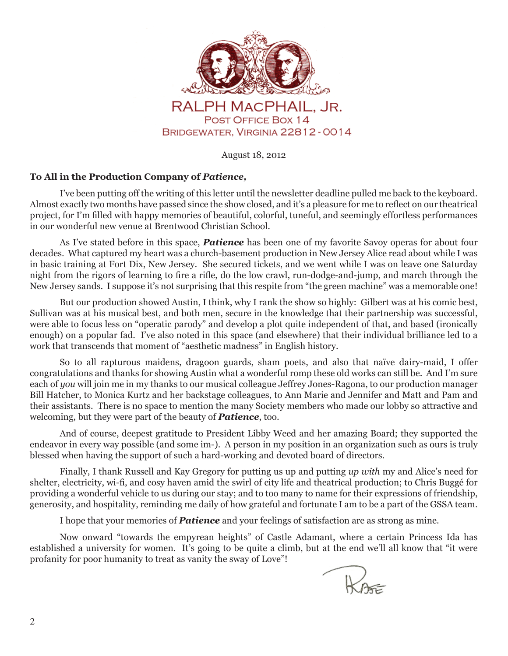

August 18, 2012

#### **To All in the Production Company of** *Patience,*

I've been putting off the writing of this letter until the newsletter deadline pulled me back to the keyboard. Almost exactly two months have passed since the show closed, and it's a pleasure for me to reflect on our theatrical project, for I'm filled with happy memories of beautiful, colorful, tuneful, and seemingly effortless performances in our wonderful new venue at Brentwood Christian School.

As I've stated before in this space, *Patience* has been one of my favorite Savoy operas for about four decades. What captured my heart was a church-basement production in New Jersey Alice read about while I was in basic training at Fort Dix, New Jersey. She secured tickets, and we went while I was on leave one Saturday night from the rigors of learning to fire a rifle, do the low crawl, run-dodge-and-jump, and march through the New Jersey sands. I suppose it's not surprising that this respite from "the green machine" was a memorable one!

But our production showed Austin, I think, why I rank the show so highly: Gilbert was at his comic best, Sullivan was at his musical best, and both men, secure in the knowledge that their partnership was successful, were able to focus less on "operatic parody" and develop a plot quite independent of that, and based (ironically enough) on a popular fad. I've also noted in this space (and elsewhere) that their individual brilliance led to a work that transcends that moment of "aesthetic madness" in English history.

So to all rapturous maidens, dragoon guards, sham poets, and also that naïve dairy-maid, I offer congratulations and thanks for showing Austin what a wonderful romp these old works can still be. And I'm sure each of *you* will join me in my thanks to our musical colleague Jeffrey Jones-Ragona, to our production manager Bill Hatcher, to Monica Kurtz and her backstage colleagues, to Ann Marie and Jennifer and Matt and Pam and their assistants. There is no space to mention the many Society members who made our lobby so attractive and welcoming, but they were part of the beauty of *Patience*, too.

And of course, deepest gratitude to President Libby Weed and her amazing Board; they supported the endeavor in every way possible (and some im-). A person in my position in an organization such as ours is truly blessed when having the support of such a hard-working and devoted board of directors.

Finally, I thank Russell and Kay Gregory for putting us up and putting *up with* my and Alice's need for shelter, electricity, wi-fi, and cosy haven amid the swirl of city life and theatrical production; to Chris Buggé for providing a wonderful vehicle to us during our stay; and to too many to name for their expressions of friendship, generosity, and hospitality, reminding me daily of how grateful and fortunate I am to be a part of the GSSA team.

I hope that your memories of *Patience* and your feelings of satisfaction are as strong as mine.

Now onward "towards the empyrean heights" of Castle Adamant, where a certain Princess Ida has established a university for women. It's going to be quite a climb, but at the end we'll all know that "it were profanity for poor humanity to treat as vanity the sway of Love"!

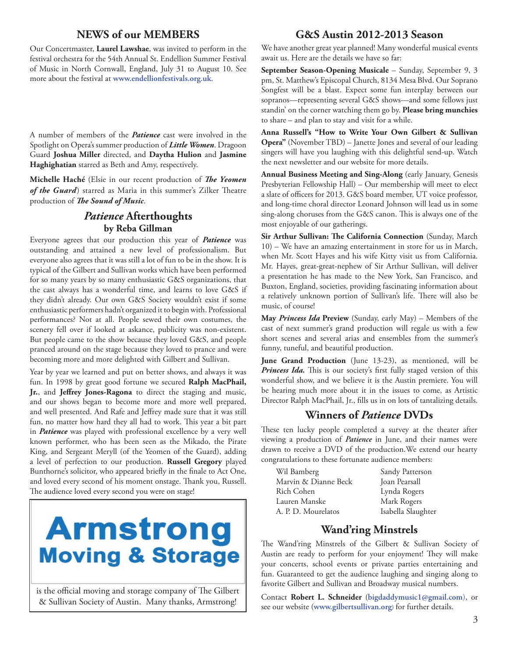#### **NEWS of our MEMBERS**

Our Concertmaster, **Laurel Lawshae**, was invited to perform in the festival orchestra for the 54th Annual St. Endellion Summer Festival of Music in North Cornwall, England, July 31 to August 10. See more about the festival at **www.endellionfestivals.org.uk**.

A number of members of the *Patience* cast were involved in the Spotlight on Opera's summer production of *Little Women*. Dragoon Guard **Joshua Miller** directed, and **Daytha Hulion** and **Jasmine Haghighatian** starred as Beth and Amy, respectively.

**Michelle Haché** (Elsie in our recent production of *The Yeomen* of the Guard) starred as Maria in this summer's Zilker Theatre production of *The Sound of Music*.

### *Patience* **Afterthoughts by Reba Gillman**

Everyone agrees that our production this year of *Patience* was outstanding and attained a new level of professionalism. But everyone also agrees that it was still a lot of fun to be in the show. It is typical of the Gilbert and Sullivan works which have been performed for so many years by so many enthusiastic G&S organizations, that the cast always has a wonderful time, and learns to love G&S if they didn't already. Our own G&S Society wouldn't exist if some enthusiastic performers hadn't organized it to begin with. Professional performances? Not at all. People sewed their own costumes, the scenery fell over if looked at askance, publicity was non-existent. But people came to the show because they loved G&S, and people pranced around on the stage because they loved to prance and were becoming more and more delighted with Gilbert and Sullivan.

Year by year we learned and put on better shows, and always it was fun. In 1998 by great good fortune we secured **Ralph MacPhail,**  Jr., and Jeffrey Jones-Ragona to direct the staging and music, and our shows began to become more and more well prepared, and well presented. And Rafe and Jeffrey made sure that it was still fun, no matter how hard they all had to work. This year a bit part in *Patience* was played with professional excellence by a very well known performer, who has been seen as the Mikado, the Pirate King, and Sergeant Meryll (of the Yeomen of the Guard), adding a level of perfection to our production. **Russell Gregory** played Bunthorne's solicitor, who appeared briefly in the finale to Act One, and loved every second of his moment onstage. Thank you, Russell. The audience loved every second you were on stage!

# **Armstrong Moving & Storage**

is the official moving and storage company of The Gilbert & Sullivan Society of Austin. Many thanks, Armstrong!

#### **G&S Austin 2012-2013 Season**

We have another great year planned! Many wonderful musical events await us. Here are the details we have so far:

September Season-Opening Musicale - Sunday, September 9, 3 pm, St. Matthew's Episcopal Church, 8134 Mesa Blvd. Our Soprano Songfest will be a blast. Expect some fun interplay between our sopranos—representing several G&S shows—and some fellows just standin' on the corner watching them go by. **Please bring munchies**  to share – and plan to stay and visit for a while.

**Anna Russell's "How to Write Your Own Gilbert & Sullivan Opera"** (November TBD) – Janette Jones and several of our leading singers will have you laughing with this delightful send-up. Watch the next newsletter and our website for more details.

**Annual Business Meeting and Sing-Along** (early January, Genesis Presbyterian Fellowship Hall) – Our membership will meet to elect a slate of officers for 2013. G&S board member, UT voice professor, and long-time choral director Leonard Johnson will lead us in some sing-along choruses from the G&S canon. This is always one of the most enjoyable of our gatherings.

**Sir Arthur Sullivan: The California Connection** (Sunday, March 10) – We have an amazing entertainment in store for us in March, when Mr. Scott Hayes and his wife Kitty visit us from California. Mr. Hayes, great-great-nephew of Sir Arthur Sullivan, will deliver a presentation he has made to the New York, San Francisco, and Buxton, England, societies, providing fascinating information about a relatively unknown portion of Sullivan's life. There will also be music, of course!

**May** *Princess Ida* **Preview** (Sunday, early May) – Members of the cast of next summer's grand production will regale us with a few short scenes and several arias and ensembles from the summer's funny, tuneful, and beautiful production.

**June Grand Production** (June 13-23), as mentioned, will be *Princess Ida*. This is our society's first fully staged version of this wonderful show, and we believe it is the Austin premiere. You will be hearing much more about it in the issues to come, as Artistic Director Ralph MacPhail, Jr., fills us in on lots of tantalizing details.

#### **Winners of** *Patience* **DVDs**

These ten lucky people completed a survey at the theater after viewing a production of *Patience* in June, and their names were drawn to receive a DVD of the production.We extend our hearty congratulations to these fortunate audience members:

| Wil Bamberg          | Sandy Patterson    |
|----------------------|--------------------|
| Marvin & Dianne Beck | Joan Pearsall      |
| Rich Cohen           | Lynda Rogers       |
| Lauren Manske        | Mark Rogers        |
| A. P. D. Mourelatos  | Isabella Slaughter |

#### **Wand'ring Minstrels**

The Wand'ring Minstrels of the Gilbert & Sullivan Society of Austin are ready to perform for your enjoyment! They will make your concerts, school events or private parties entertaining and fun. Guaranteed to get the audience laughing and singing along to favorite Gilbert and Sullivan and Broadway musical numbers.

Contact **Robert L. Schneider** (**bigdaddymusic1@gmail.com**), or see our website (**www.gilbertsullivan.org**) for further details.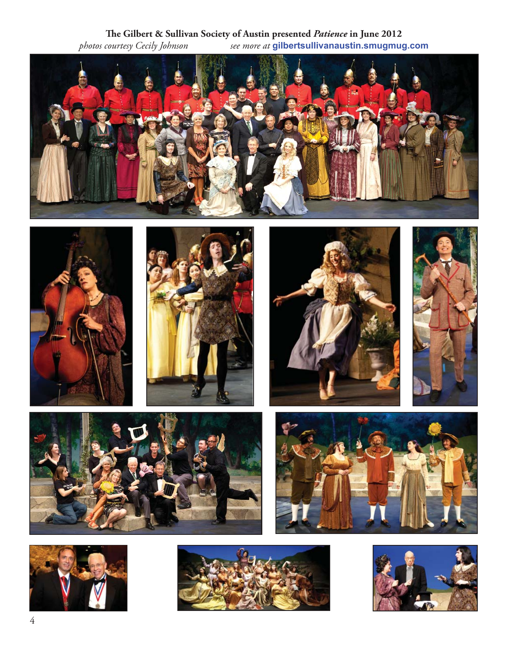**116 The Gilbert & Sullivan Society of Austin presented** *Patience* **in June 2012<br>***photos courtesy Cecily Johnson**see more at* **<b>gilbertsullivanaustin.smugmug** *photos courtesy Cecily Johnson see more at* **gilbertsullivanaustin.smugmug.com**



















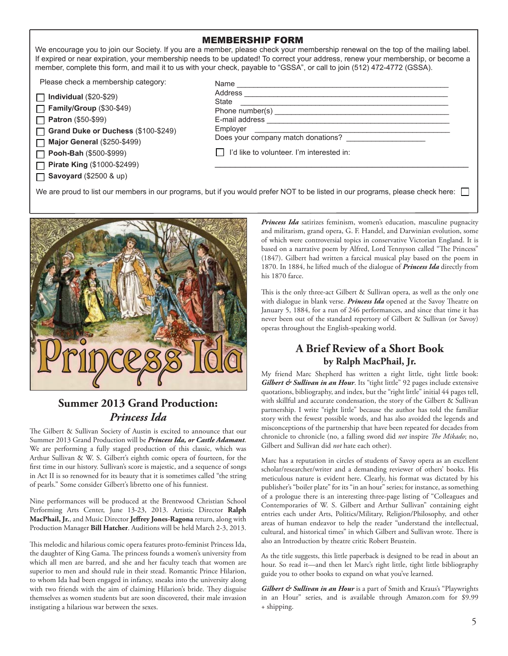#### MEMBERSHIP FORM

We encourage you to join our Society. If you are a member, please check your membership renewal on the top of the mailing label. If expired or near expiration, your membership needs to be updated! To correct your address, renew your membership, or become a member, complete this form, and mail it to us with your check, payable to "GSSA", or call to join (512) 472-4772 (GSSA).

Please check a membership category:

| $\Box$ Individual (\$20-\$29) |
|-------------------------------|
| Family/Group (\$30-\$49)      |
|                               |

**Patron** (\$50-\$99)

**Grand Duke or Duchess** (\$100-\$249) П

**Major General** (\$250-\$499)

**Pooh-Bah** (\$500-\$999)

**Pirate King** (\$1000-\$2499)

**Savoyard** (\$2500 & up)

| Address  |                                           |  |
|----------|-------------------------------------------|--|
| State    |                                           |  |
|          |                                           |  |
|          | E-mail address <b>E-mail address</b>      |  |
| Employer |                                           |  |
|          | Does your company match donations?        |  |
|          | l'd like to volunteer. I'm interested in: |  |

We are proud to list our members in our programs, but if you would prefer NOT to be listed in our programs, please check here:



### **Summer 2013 Grand Production:** *Princess Ida*

The Gilbert & Sullivan Society of Austin is excited to announce that our Summer 2013 Grand Production will be *Princess Ida, or Castle Adamant*. We are performing a fully staged production of this classic, which was Arthur Sullivan & W. S. Gilbert's eighth comic opera of fourteen, for the first time in our history. Sullivan's score is majestic, and a sequence of songs in Act II is so renowned for its beauty that it is sometimes called "the string of pearls." Some consider Gilbert's libretto one of his funniest.

Nine performances will be produced at the Brentwood Christian School Performing Arts Center, June 13-23, 2013. Artistic Director **Ralph MacPhail, Jr.**, and Music Director **Je" rey Jones-Ragona** return, along with Production Manager **Bill Hatcher**. Auditions will be held March 2-3, 2013.

This melodic and hilarious comic opera features proto-feminist Princess Ida, the daughter of King Gama. The princess founds a women's university from which all men are barred, and she and her faculty teach that women are superior to men and should rule in their stead. Romantic Prince Hilarion, to whom Ida had been engaged in infancy, sneaks into the university along with two friends with the aim of claiming Hilarion's bride. They disguise themselves as women students but are soon discovered, their male invasion instigating a hilarious war between the sexes.

*Princess Ida* satirizes feminism, women's education, masculine pugnacity and militarism, grand opera, G. F. Handel, and Darwinian evolution, some of which were controversial topics in conservative Victorian England. It is based on a narrative poem by Alfred, Lord Tennyson called "The Princess" (1847). Gilbert had written a farcical musical play based on the poem in 1870. In 1884, he lifted much of the dialogue of *Princess Ida* directly from his 1870 farce.

This is the only three-act Gilbert & Sullivan opera, as well as the only one with dialogue in blank verse. *Princess Ida* opened at the Savoy Theatre on January 5, 1884, for a run of 246 performances, and since that time it has never been out of the standard repertory of Gilbert & Sullivan (or Savoy) operas throughout the English-speaking world.

#### **A Brief Review of a Short Book by Ralph MacPhail, Jr.**

My friend Marc Shepherd has written a right little, tight little book: *Gilbert & Sullivan in an Hour*. Its "tight little" 92 pages include extensive quotations, bibliography, and index, but the "right little" initial 44 pages tell, with skillful and accurate condensation, the story of the Gilbert & Sullivan partnership. I write "right little" because the author has told the familiar story with the fewest possible words, and has also avoided the legends and misconceptions of the partnership that have been repeated for decades from chronicle to chronicle (no, a falling sword did *not* inspire *The Mikado*; no, Gilbert and Sullivan did *not* hate each other).

Marc has a reputation in circles of students of Savoy opera as an excellent scholar/researcher/writer and a demanding reviewer of others' books. His meticulous nature is evident here. Clearly, his format was dictated by his publisher's "boiler plate" for its "in an hour" series; for instance, as something of a prologue there is an interesting three-page listing of "Colleagues and Contemporaries of W. S. Gilbert and Arthur Sullivan" containing eight entries each under Arts, Politics/Military, Religion/Philosophy, and other areas of human endeavor to help the reader "understand the intellectual, cultural, and historical times" in which Gilbert and Sullivan wrote. There is also an Introduction by theatre critic Robert Brustein.

As the title suggests, this little paperback is designed to be read in about an hour. So read it—and then let Marc's right little, tight little bibliography guide you to other books to expand on what you've learned.

Gilbert & Sullivan in an Hour is a part of Smith and Kraus's "Playwrights in an Hour" series, and is available through Amazon.com for \$9.99 + shipping.